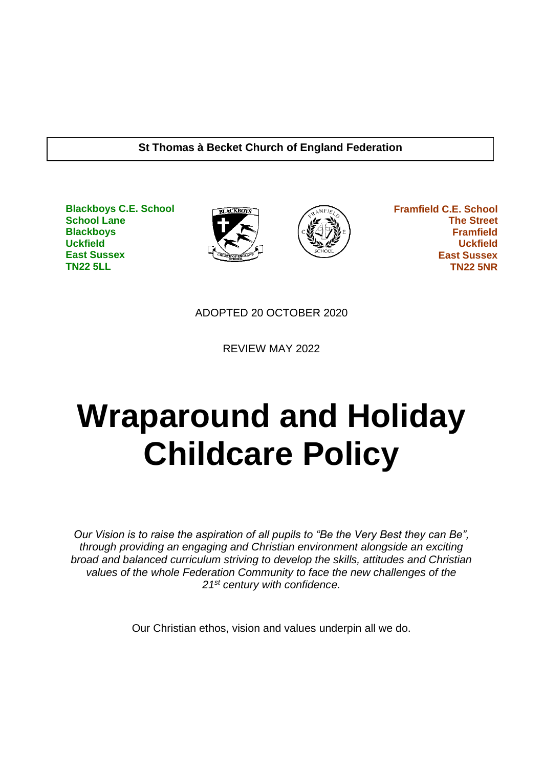#### **St Thomas à Becket Church of England Federation**

**Blackboys C.E. School School Lane Blackboys Uckfield East Sussex TN22 5LL**





 **Framfield C.E. School The Street Framfield Uckfield East Sussex TN22 5NR**

ADOPTED 20 OCTOBER 2020

REVIEW MAY 2022

# **Wraparound and Holiday Childcare Policy**

*Our Vision is to raise the aspiration of all pupils to "Be the Very Best they can Be", through providing an engaging and Christian environment alongside an exciting broad and balanced curriculum striving to develop the skills, attitudes and Christian values of the whole Federation Community to face the new challenges of the 21st century with confidence.*

Our Christian ethos, vision and values underpin all we do.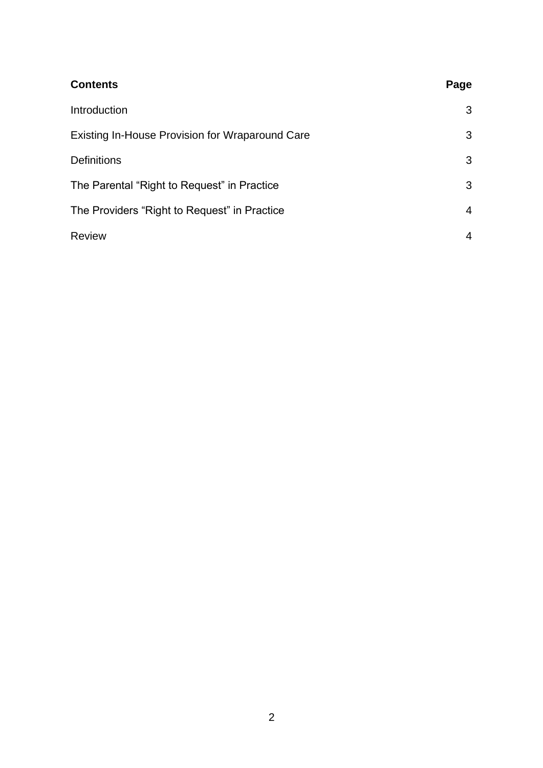| <b>Contents</b>                                 | Page           |
|-------------------------------------------------|----------------|
| Introduction                                    | 3              |
| Existing In-House Provision for Wraparound Care | 3              |
| <b>Definitions</b>                              | 3              |
| The Parental "Right to Request" in Practice     | 3              |
| The Providers "Right to Request" in Practice    | $\overline{4}$ |
| <b>Review</b>                                   | 4              |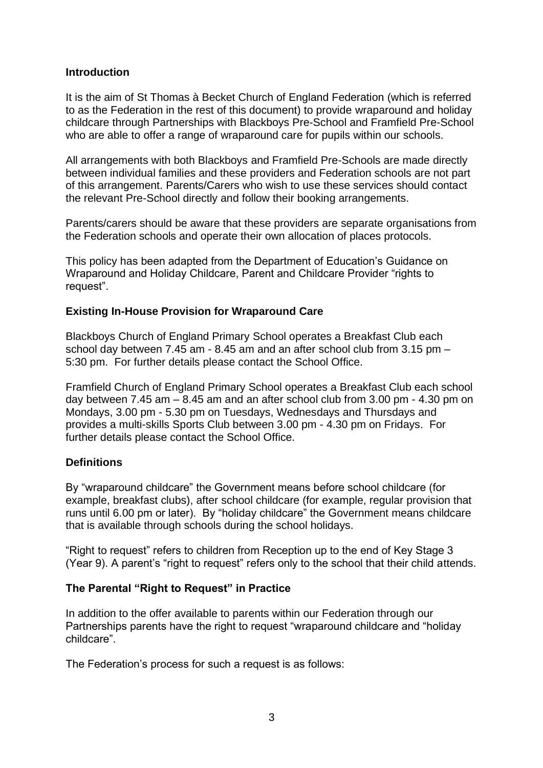### **Introduction**

It is the aim of St Thomas à Becket Church of England Federation (which is referred to as the Federation in the rest of this document) to provide wraparound and holiday childcare through Partnerships with Blackboys Pre-School and Framfield Pre-School who are able to offer a range of wraparound care for pupils within our schools.

All arrangements with both Blackboys and Framfield Pre-Schools are made directly between individual families and these providers and Federation schools are not part of this arrangement. Parents/Carers who wish to use these services should contact the relevant Pre-School directly and follow their booking arrangements.

Parents/carers should be aware that these providers are separate organisations from the Federation schools and operate their own allocation of places protocols.

This policy has been adapted from the Department of Education's Guidance on Wraparound and Holiday Childcare, Parent and Childcare Provider "rights to request".

#### **Existing In-House Provision for Wraparound Care**

Blackboys Church of England Primary School operates a Breakfast Club each school day between 7.45 am - 8.45 am and an after school club from 3.15 pm – 5:30 pm. For further details please contact the School Office.

Framfield Church of England Primary School operates a Breakfast Club each school day between 7.45 am – 8.45 am and an after school club from 3.00 pm - 4.30 pm on Mondays, 3.00 pm - 5.30 pm on Tuesdays, Wednesdays and Thursdays and provides a multi-skills Sports Club between 3.00 pm - 4.30 pm on Fridays. For further details please contact the School Office.

#### **Definitions**

By "wraparound childcare" the Government means before school childcare (for example, breakfast clubs), after school childcare (for example, regular provision that runs until 6.00 pm or later). By "holiday childcare" the Government means childcare that is available through schools during the school holidays.

"Right to request" refers to children from Reception up to the end of Key Stage 3 (Year 9). A parent's "right to request" refers only to the school that their child attends.

#### **The Parental "Right to Request" in Practice**

In addition to the offer available to parents within our Federation through our Partnerships parents have the right to request "wraparound childcare and "holiday childcare".

The Federation's process for such a request is as follows: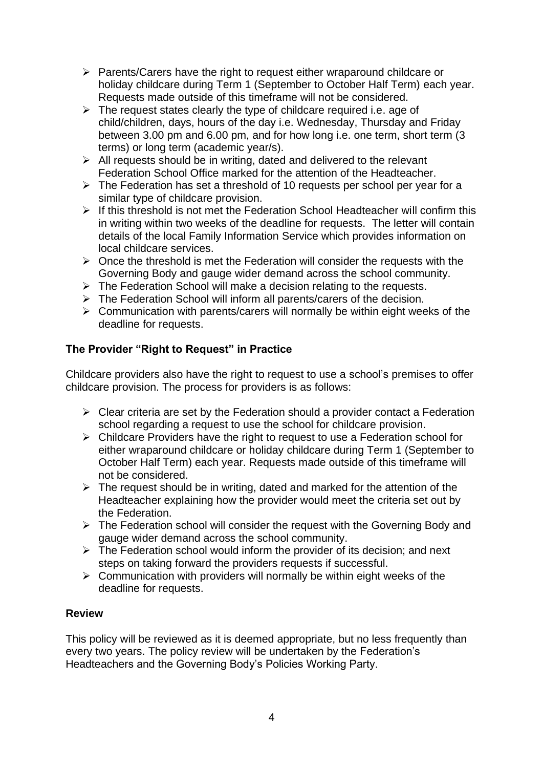- ➢ Parents/Carers have the right to request either wraparound childcare or holiday childcare during Term 1 (September to October Half Term) each year. Requests made outside of this timeframe will not be considered.
- $\triangleright$  The request states clearly the type of childcare required i.e. age of child/children, days, hours of the day i.e. Wednesday, Thursday and Friday between 3.00 pm and 6.00 pm, and for how long i.e. one term, short term (3 terms) or long term (academic year/s).
- $\triangleright$  All requests should be in writing, dated and delivered to the relevant Federation School Office marked for the attention of the Headteacher.
- ➢ The Federation has set a threshold of 10 requests per school per year for a similar type of childcare provision.
- ➢ If this threshold is not met the Federation School Headteacher will confirm this in writing within two weeks of the deadline for requests. The letter will contain details of the local Family Information Service which provides information on local childcare services.
- $\triangleright$  Once the threshold is met the Federation will consider the requests with the Governing Body and gauge wider demand across the school community.
- ➢ The Federation School will make a decision relating to the requests.
- ➢ The Federation School will inform all parents/carers of the decision.
- $\triangleright$  Communication with parents/carers will normally be within eight weeks of the deadline for requests.

## **The Provider "Right to Request" in Practice**

Childcare providers also have the right to request to use a school's premises to offer childcare provision. The process for providers is as follows:

- $\triangleright$  Clear criteria are set by the Federation should a provider contact a Federation school regarding a request to use the school for childcare provision.
- ➢ Childcare Providers have the right to request to use a Federation school for either wraparound childcare or holiday childcare during Term 1 (September to October Half Term) each year. Requests made outside of this timeframe will not be considered.
- $\triangleright$  The request should be in writing, dated and marked for the attention of the Headteacher explaining how the provider would meet the criteria set out by the Federation.
- ➢ The Federation school will consider the request with the Governing Body and gauge wider demand across the school community.
- ➢ The Federation school would inform the provider of its decision; and next steps on taking forward the providers requests if successful.
- $\triangleright$  Communication with providers will normally be within eight weeks of the deadline for requests.

#### **Review**

This policy will be reviewed as it is deemed appropriate, but no less frequently than every two years. The policy review will be undertaken by the Federation's Headteachers and the Governing Body's Policies Working Party.